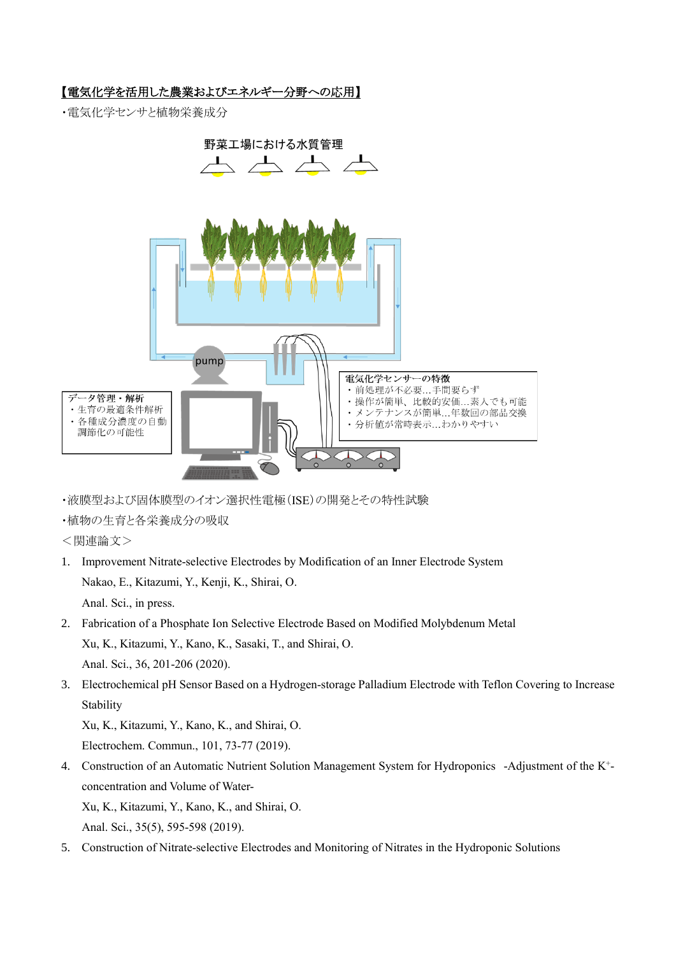## 【電気化学を活用した農業およびエネルギー分野への応用】

・電気化学センサと植物栄養成分



- ・液膜型および固体膜型のイオン選択性電極(ISE)の開発とその特性試験
- ・植物の生育と各栄養成分の吸収
- <関連論文>
- 1. Improvement Nitrate-selective Electrodes by Modification of an Inner Electrode System Nakao, E., Kitazumi, Y., Kenji, K., Shirai, O. Anal. Sci., in press.
- 2. Fabrication of a Phosphate Ion Selective Electrode Based on Modified Molybdenum Metal Xu, K., Kitazumi, Y., Kano, K., Sasaki, T., and Shirai, O. Anal. Sci., 36, 201-206 (2020).
- 3. Electrochemical pH Sensor Based on a Hydrogen-storage Palladium Electrode with Teflon Covering to Increase Stability

Xu, K., Kitazumi, Y., Kano, K., and Shirai, O.

Electrochem. Commun., 101, 73-77 (2019).

4. Construction of an Automatic Nutrient Solution Management System for Hydroponics -Adjustment of the K<sup>+</sup>concentration and Volume of Water-

Xu, K., Kitazumi, Y., Kano, K., and Shirai, O.

Anal. Sci., 35(5), 595-598 (2019).

5. Construction of Nitrate-selective Electrodes and Monitoring of Nitrates in the Hydroponic Solutions